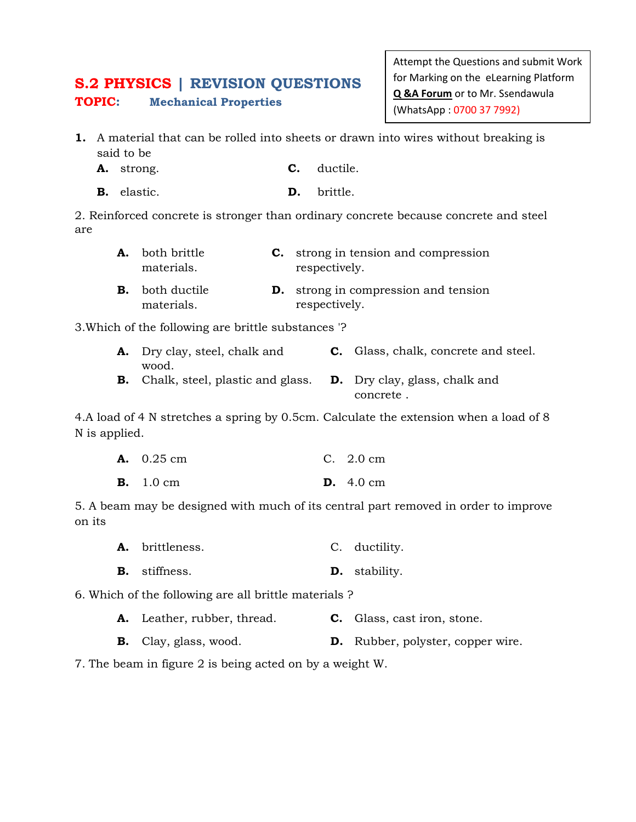## **S.2 PHYSICS | REVISION QUESTIONS TOPIC: Mechanical Properties**

Attempt the Questions and submit Work for Marking on the eLearning Platform **Q &A Forum** or to Mr. Ssendawula (WhatsApp : 0700 37 7992)

- **1.** A material that can be rolled into sheets or drawn into wires without breaking is said to be
	- **A.** strong. **C.** ductile.
	- **B.** elastic. **D.** brittle.

2. Reinforced concrete is stronger than ordinary concrete because concrete and steel are

| <b>A.</b> both brittle<br>materials. | <b>C.</b> strong in tension and compression<br>respectively. |
|--------------------------------------|--------------------------------------------------------------|
| <b>B.</b> both ductile<br>materials. | <b>D.</b> strong in compression and tension<br>respectively. |

3.Which of the following are brittle substances '?

| <b>A.</b> Dry clay, steel, chalk and       | <b>C.</b> Glass, chalk, concrete and steel. |
|--------------------------------------------|---------------------------------------------|
| wood.                                      |                                             |
| <b>B.</b> Chalk, steel, plastic and glass. | <b>D.</b> Dry clay, glass, chalk and        |
|                                            | concrete.                                   |

4.A load of 4 N stretches a spring by 0.5cm. Calculate the extension when a load of 8 N is applied.

| <b>A.</b> $0.25 \text{ cm}$ | C. $2.0 \text{ cm}$        |
|-----------------------------|----------------------------|
| <b>B.</b> 1.0 cm            | <b>D.</b> $4.0 \text{ cm}$ |

5. A beam may be designed with much of its central part removed in order to improve on its

- **A.** brittleness. C. ductility.
- **B.** stiffness. **D.** stability.

6. Which of the following are all brittle materials ?

- **A.** Leather, rubber, thread. **C.** Glass, cast iron, stone.
- **B.** Clay, glass, wood. **D.** Rubber, polyster, copper wire.

7. The beam in figure 2 is being acted on by a weight W.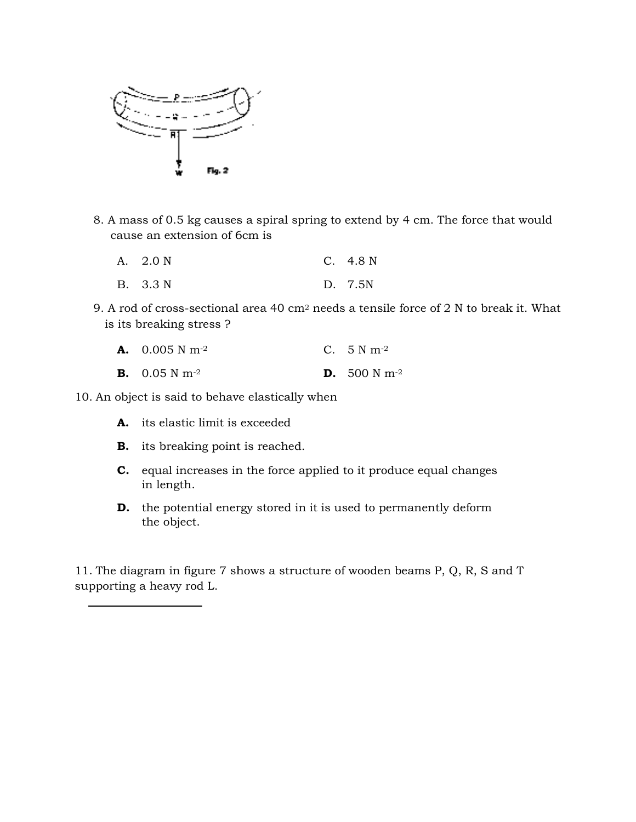

- 8. A mass of 0.5 kg causes a spiral spring to extend by 4 cm. The force that would
	- cause an extension of 6cm is<br>
	A. 2.0 N C. 4.8 N A. 2.0 N
	- B. 3.3 N D. 7.5N
- 9. A rod of cross-sectional area 40  $\mathrm{cm}^2$  needs a tensile force of 2 N to break it. What is its breaking stress ?
	- **A.** 0.005 N m-2 C. 5 N m-2
	- **B.** 0.05 N m-2 **D.** 500 N m-2

10. An object is said to behave elastically when

- **A.** its elastic limit is exceeded
- **B.** its breaking point is reached.
- **C.** equal increases in the force applied to it produce equal changes in length. its elastic limit is exceeded<br>its breaking point is reached.<br>equal increases in the force applied to it produce equal chan<br>in length.<br>the potential energy stored in it is used to permanently defo:<br>the object.<br>gram in figur
- **D.** the potential energy stored in it is used to permanently deform the object.

11. The diagram in figure 7 shows a structure of wooden beams P, Q, R, R, S and T supporting a heavy rod L.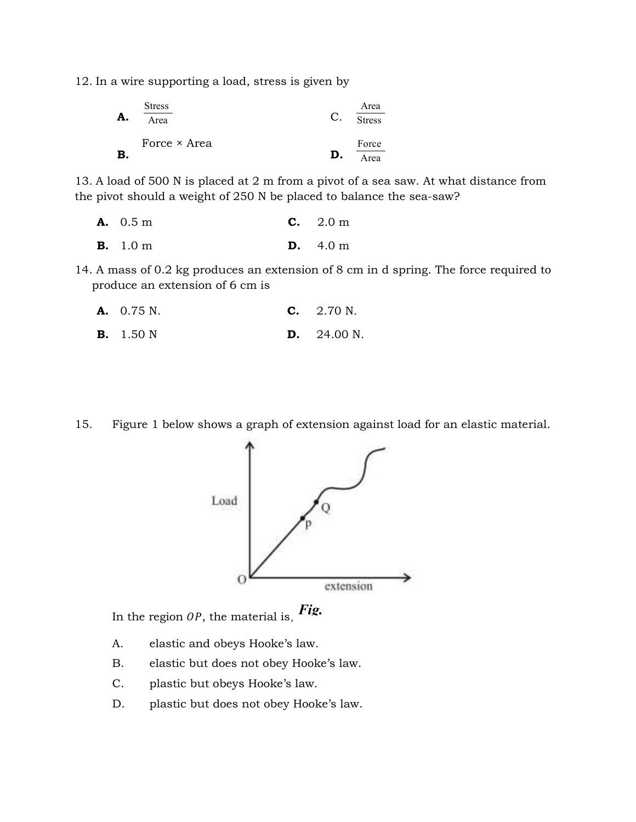12. In a wire supporting a load, stress is given by

| A. | <b>Stress</b><br>Area | $\mathcal{C}$ . | Area<br><b>Stress</b> |
|----|-----------------------|-----------------|-----------------------|
| B  | Force × Area          | D.              | Force<br>Area         |

13. A load of 500 N is placed at 2 m from a pivot of a sea saw. At what distance from the pivot should a weight of 250 N be placed to balance the sea-saw?

| <b>A.</b> 0.5 m | C. 2.0 m                  |
|-----------------|---------------------------|
| <b>B.</b> 1.0 m | <b>D.</b> $4.0 \text{ m}$ |

14. A mass of 0.2 kg produces an extension of 8 cm in d spring. The force required to produce an extension of 6 cm is

| <b>A.</b> 0.75 N.<br><b>C.</b> $2.70 \text{ N.}$ |
|--------------------------------------------------|
|                                                  |

**B.** 1.50 N **D.** 24.00 N.

15. Figure 1 below shows a graph of extension against load for an elastic material.



In the region  $\partial P$ , the material is,  $\pmb{Fig.}$ 

- A. elastic and obeys Hooke's law.
- B. elastic but does not obey Hooke's law.
- C. plastic but obeys Hooke's law.
- D. plastic but does not obey Hooke's law.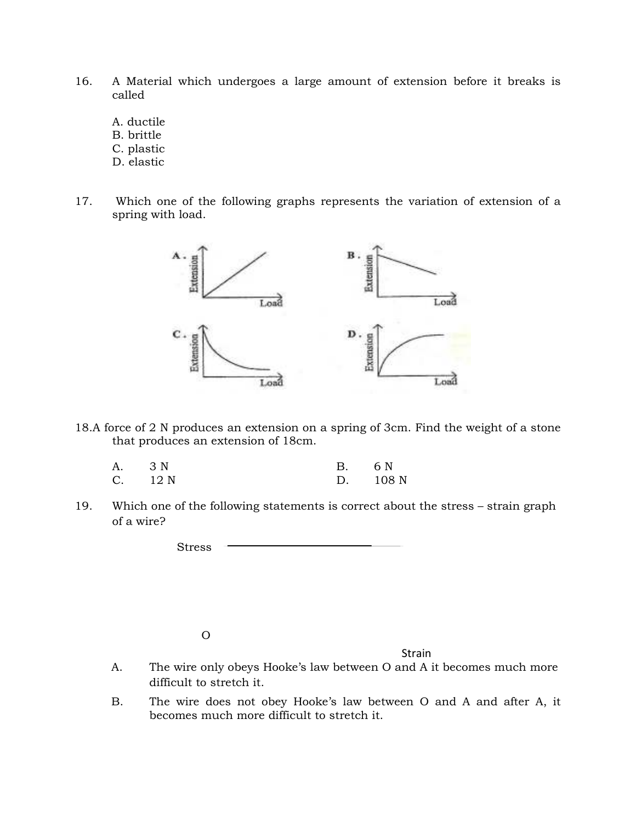- 16. A Material which undergoes a large amount of extension before it breaks is called
	- A. ductile
	- B. brittle
	- C. plastic
	- D. elastic
- 17. Which one of the following graphs represents the variation of extension of a spring with load.



18.A force of 2 N produces an extension on a spring of 3cm. Find the weight of a stone that produces an extension of 18cm.

| A. 3 N |         | B. 6 N |          |
|--------|---------|--------|----------|
|        | C. 12 N |        | D. 108 N |

19. Which one of the following statements is correct about the stress – strain graph of a wire?

Stress

O

Strain

- A. The wire only obeys Hooke's law between O and A it becomes much more difficult to stretch it.
- B. The wire does not obey Hooke's law between O and A and after A, it becomes much more difficult to stretch it.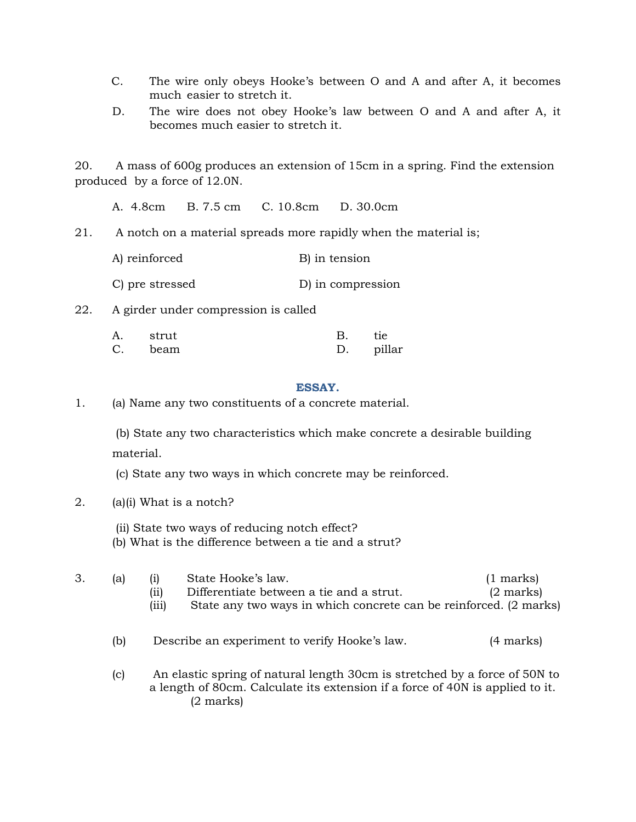- C. The wire only obeys Hooke's between O and A and after A, it becomes much easier to stretch it.
- D. The wire does not obey Hooke's law between O and A and after A, it becomes much easier to stretch it.

20. A mass of 600g produces an extension of 15cm in a spring. Find the extension produced by a force of 12.0N.

A. 4.8cm B. 7.5 cm C. 10.8cm D. 30.0cm

21. A notch on a material spreads more rapidly when the material is;

| A) reinforced   | B) in tension     |
|-----------------|-------------------|
| C) pre stressed | D) in compression |

22. A girder under compression is called

| A. strut | $\mathbf{B}$ | tie |
|----------|--------------|-----|
| C. beam  | D. pillar    |     |

## **ESSAY.**

1. (a) Name any two constituents of a concrete material.

 (b) State any two characteristics which make concrete a desirable building material.

(c) State any two ways in which concrete may be reinforced.

- 2. (a)(i) What is a notch?
	- (ii) State two ways of reducing notch effect?
	- (b) What is the difference between a tie and a strut?

| 3.                         | all | State Hooke's law.<br>$\left( i\right)$                                                                                                                     | $(1 \text{ marks})$ |
|----------------------------|-----|-------------------------------------------------------------------------------------------------------------------------------------------------------------|---------------------|
|                            |     | (ii)<br>Differentiate between a tie and a strut.                                                                                                            | $(2 \text{ marks})$ |
|                            |     | (iii)<br>State any two ways in which concrete can be reinforced. (2 marks)                                                                                  |                     |
|                            | (b) | Describe an experiment to verify Hooke's law.                                                                                                               | (4 marks)           |
| (c)<br>$(2 \text{ marks})$ |     | An elastic spring of natural length 30cm is stretched by a force of 50N to<br>a length of 80cm. Calculate its extension if a force of 40N is applied to it. |                     |